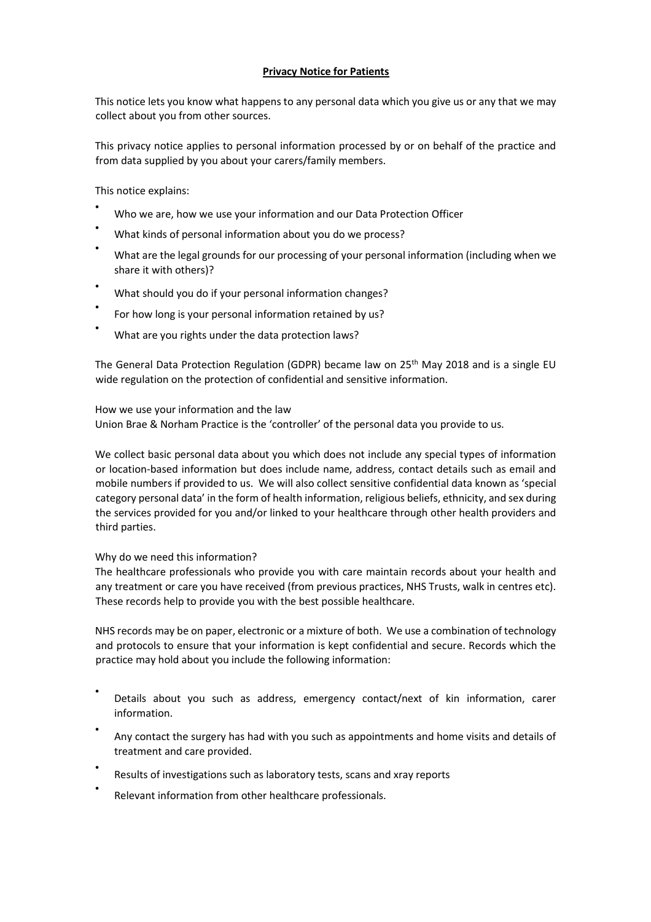# **Privacy Notice for Patients**

This notice lets you know what happens to any personal data which you give us or any that we may collect about you from other sources.

This privacy notice applies to personal information processed by or on behalf of the practice and from data supplied by you about your carers/family members.

This notice explains:

- Who we are, how we use your information and our Data Protection Officer
- What kinds of personal information about you do we process?
- What are the legal grounds for our processing of your personal information (including when we share it with others)?
- What should you do if your personal information changes?
- For how long is your personal information retained by us?
- What are you rights under the data protection laws?

The General Data Protection Regulation (GDPR) became law on 25<sup>th</sup> May 2018 and is a single EU wide regulation on the protection of confidential and sensitive information.

How we use your information and the law Union Brae & Norham Practice is the 'controller' of the personal data you provide to us.

We collect basic personal data about you which does not include any special types of information or location-based information but does include name, address, contact details such as email and mobile numbers if provided to us. We will also collect sensitive confidential data known as 'special category personal data' in the form of health information, religious beliefs, ethnicity, and sex during the services provided for you and/or linked to your healthcare through other health providers and third parties.

# Why do we need this information?

The healthcare professionals who provide you with care maintain records about your health and any treatment or care you have received (from previous practices, NHS Trusts, walk in centres etc). These records help to provide you with the best possible healthcare.

NHS records may be on paper, electronic or a mixture of both. We use a combination of technology and protocols to ensure that your information is kept confidential and secure. Records which the practice may hold about you include the following information:

- Details about you such as address, emergency contact/next of kin information, carer information.
- Any contact the surgery has had with you such as appointments and home visits and details of treatment and care provided.
- Results of investigations such as laboratory tests, scans and xray reports
- Relevant information from other healthcare professionals.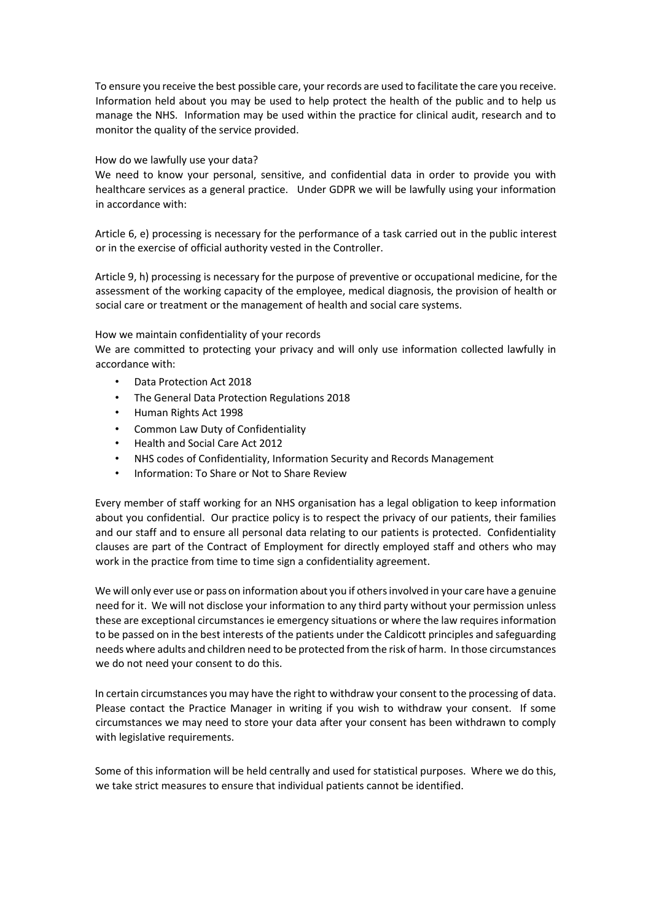To ensure you receive the best possible care, your records are used to facilitate the care you receive. Information held about you may be used to help protect the health of the public and to help us manage the NHS. Information may be used within the practice for clinical audit, research and to monitor the quality of the service provided.

### How do we lawfully use your data?

We need to know your personal, sensitive, and confidential data in order to provide you with healthcare services as a general practice. Under GDPR we will be lawfully using your information in accordance with:

Article 6, e) processing is necessary for the performance of a task carried out in the public interest or in the exercise of official authority vested in the Controller.

Article 9, h) processing is necessary for the purpose of preventive or occupational medicine, for the assessment of the working capacity of the employee, medical diagnosis, the provision of health or social care or treatment or the management of health and social care systems.

## How we maintain confidentiality of your records

We are committed to protecting your privacy and will only use information collected lawfully in accordance with:

- Data Protection Act 2018
- The General Data Protection Regulations 2018
- Human Rights Act 1998
- Common Law Duty of Confidentiality
- Health and Social Care Act 2012
- NHS codes of Confidentiality, Information Security and Records Management
- Information: To Share or Not to Share Review

Every member of staff working for an NHS organisation has a legal obligation to keep information about you confidential. Our practice policy is to respect the privacy of our patients, their families and our staff and to ensure all personal data relating to our patients is protected. Confidentiality clauses are part of the Contract of Employment for directly employed staff and others who may work in the practice from time to time sign a confidentiality agreement.

We will only ever use or pass on information about you if others involved in your care have a genuine need for it. We will not disclose your information to any third party without your permission unless these are exceptional circumstances ie emergency situations or where the law requires information to be passed on in the best interests of the patients under the Caldicott principles and safeguarding needs where adults and children need to be protected from the risk of harm. In those circumstances we do not need your consent to do this.

In certain circumstances you may have the right to withdraw your consent to the processing of data. Please contact the Practice Manager in writing if you wish to withdraw your consent. If some circumstances we may need to store your data after your consent has been withdrawn to comply with legislative requirements.

Some of this information will be held centrally and used for statistical purposes. Where we do this, we take strict measures to ensure that individual patients cannot be identified.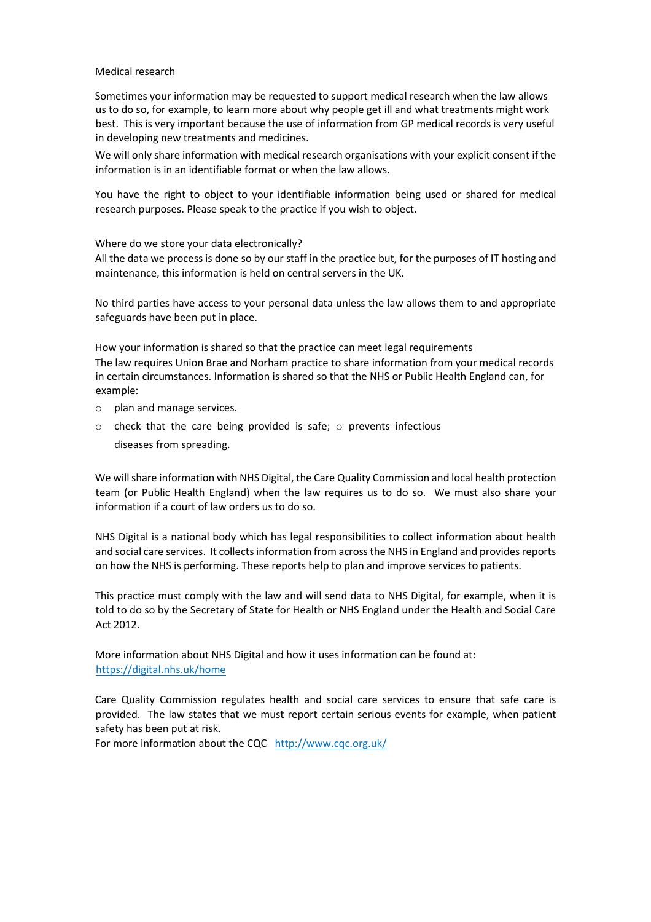#### Medical research

Sometimes your information may be requested to support medical research when the law allows us to do so, for example, to learn more about why people get ill and what treatments might work best. This is very important because the use of information from GP medical records is very useful in developing new treatments and medicines.

We will only share information with medical research organisations with your explicit consent if the information is in an identifiable format or when the law allows.

You have the right to object to your identifiable information being used or shared for medical research purposes. Please speak to the practice if you wish to object.

Where do we store your data electronically?

All the data we process is done so by our staff in the practice but, for the purposes of IT hosting and maintenance, this information is held on central servers in the UK.

No third parties have access to your personal data unless the law allows them to and appropriate safeguards have been put in place.

How your information is shared so that the practice can meet legal requirements The law requires Union Brae and Norham practice to share information from your medical records in certain circumstances. Information is shared so that the NHS or Public Health England can, for example:

- o plan and manage services.
- $\circ$  check that the care being provided is safe;  $\circ$  prevents infectious diseases from spreading.

We will share information with NHS Digital, the Care Quality Commission and local health protection team (or Public Health England) when the law requires us to do so. We must also share your information if a court of law orders us to do so.

NHS Digital is a national body which has legal responsibilities to collect information about health and social care services. It collects information from across the NHS in England and provides reports on how the NHS is performing. These reports help to plan and improve services to patients.

This practice must comply with the law and will send data to NHS Digital, for example, when it is told to do so by the Secretary of State for Health or NHS England under the Health and Social Care Act 2012.

More information about NHS Digital and how it uses information can be found at: https://digital.nhs.uk/home

Care Quality Commission regulates health and social care services to ensure that safe care is provided. The law states that we must report certain serious events for example, when patient safety has been put at risk.

For more information about the CQC http://www.cqc.org.uk/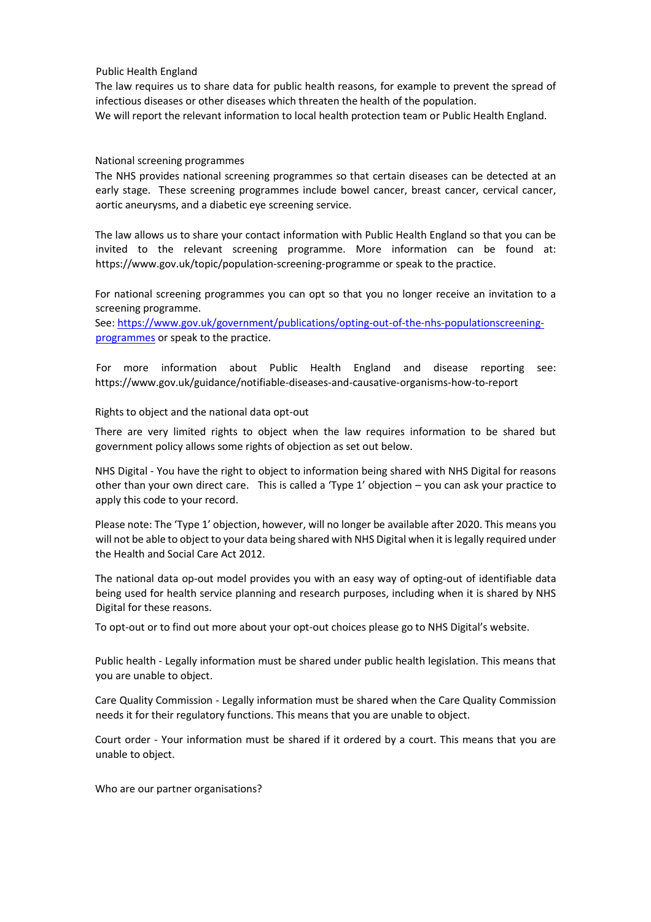Public Health England

The law requires us to share data for public health reasons, for example to prevent the spread of infectious diseases or other diseases which threaten the health of the population. We will report the relevant information to local health protection team or Public Health England.

## National screening programmes

The NHS provides national screening programmes so that certain diseases can be detected at an early stage. These screening programmes include bowel cancer, breast cancer, cervical cancer, aortic aneurysms, and a diabetic eye screening service.

The law allows us to share your contact information with Public Health England so that you can be invited to the relevant screening programme. More information can be found at: https://www.gov.uk/topic/population-screening-programme or speak to the practice.

For national screening programmes you can opt so that you no longer receive an invitation to a screening programme.

See: https://www.gov.uk/government/publications/opting-out-of-the-nhs-populationscreeningprogrammes or speak to the practice.

For more information about Public Health England and disease reporting see: https://www.gov.uk/guidance/notifiable-diseases-and-causative-organisms-how-to-report

## Rights to object and the national data opt-out

There are very limited rights to object when the law requires information to be shared but government policy allows some rights of objection as set out below.

NHS Digital - You have the right to object to information being shared with NHS Digital for reasons other than your own direct care. This is called a 'Type 1' objection – you can ask your practice to apply this code to your record.

Please note: The 'Type 1' objection, however, will no longer be available after 2020. This means you will not be able to object to your data being shared with NHS Digital when it is legally required under the Health and Social Care Act 2012.

The national data op-out model provides you with an easy way of opting-out of identifiable data being used for health service planning and research purposes, including when it is shared by NHS Digital for these reasons.

To opt-out or to find out more about your opt-out choices please go to NHS Digital's website.

Public health - Legally information must be shared under public health legislation. This means that you are unable to object.

Care Quality Commission - Legally information must be shared when the Care Quality Commission needs it for their regulatory functions. This means that you are unable to object.

Court order - Your information must be shared if it ordered by a court. This means that you are unable to object.

Who are our partner organisations?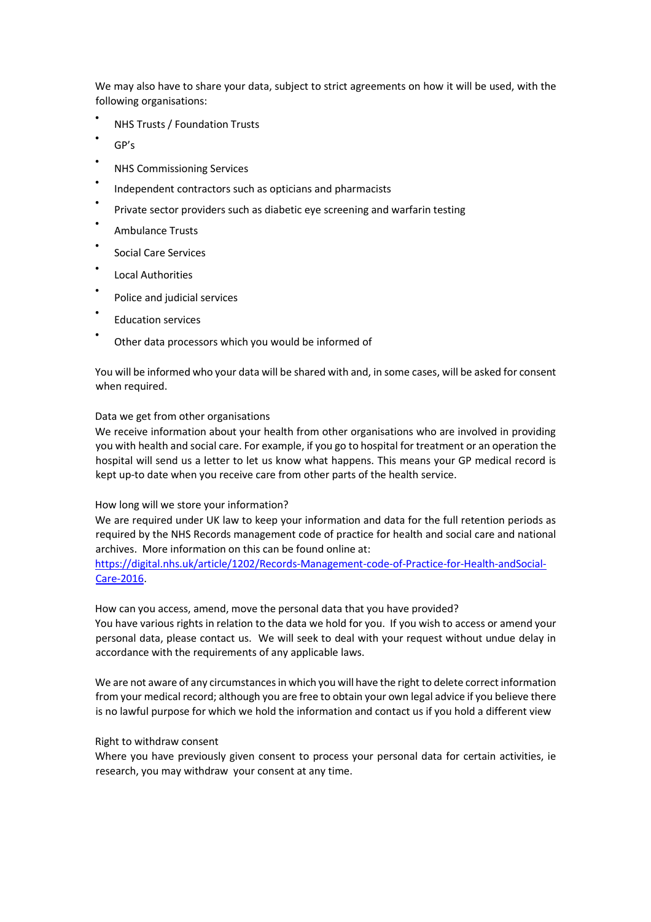We may also have to share your data, subject to strict agreements on how it will be used, with the following organisations:

- NHS Trusts / Foundation Trusts
- GP's
- NHS Commissioning Services
- Independent contractors such as opticians and pharmacists
- Private sector providers such as diabetic eye screening and warfarin testing
- Ambulance Trusts
- Social Care Services
- Local Authorities
- Police and judicial services
- Education services
- Other data processors which you would be informed of

You will be informed who your data will be shared with and, in some cases, will be asked for consent when required.

#### Data we get from other organisations

We receive information about your health from other organisations who are involved in providing you with health and social care. For example, if you go to hospital for treatment or an operation the hospital will send us a letter to let us know what happens. This means your GP medical record is kept up-to date when you receive care from other parts of the health service.

#### How long will we store your information?

We are required under UK law to keep your information and data for the full retention periods as required by the NHS Records management code of practice for health and social care and national archives. More information on this can be found online at:

https://digital.nhs.uk/article/1202/Records-Management-code-of-Practice-for-Health-andSocial-Care-2016.

How can you access, amend, move the personal data that you have provided?

You have various rights in relation to the data we hold for you. If you wish to access or amend your personal data, please contact us. We will seek to deal with your request without undue delay in accordance with the requirements of any applicable laws.

We are not aware of any circumstances in which you will have the right to delete correct information from your medical record; although you are free to obtain your own legal advice if you believe there is no lawful purpose for which we hold the information and contact us if you hold a different view

#### Right to withdraw consent

Where you have previously given consent to process your personal data for certain activities, ie research, you may withdraw your consent at any time.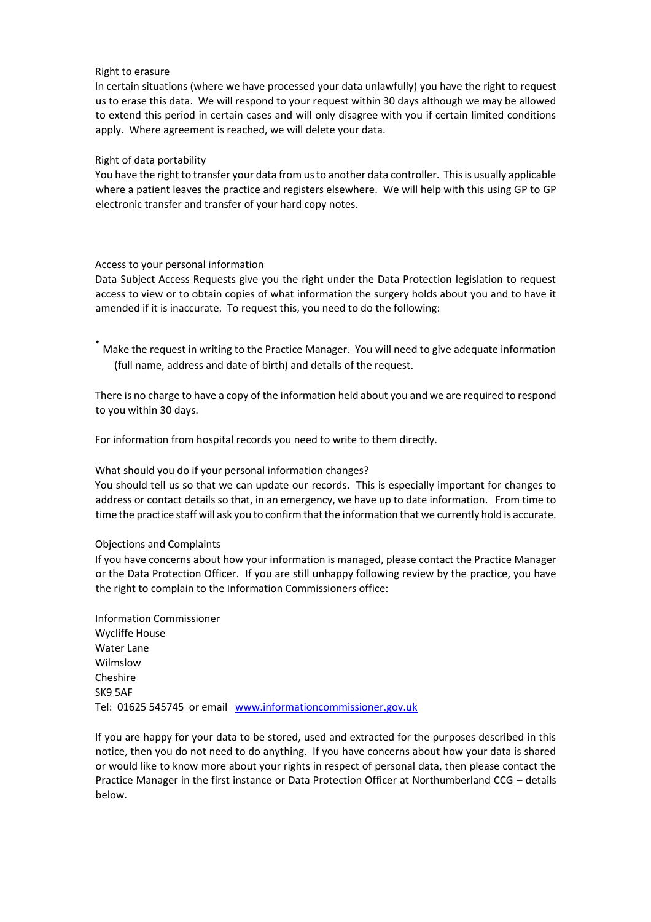#### Right to erasure

In certain situations (where we have processed your data unlawfully) you have the right to request us to erase this data. We will respond to your request within 30 days although we may be allowed to extend this period in certain cases and will only disagree with you if certain limited conditions apply. Where agreement is reached, we will delete your data.

### Right of data portability

You have the right to transfer your data from us to another data controller. This is usually applicable where a patient leaves the practice and registers elsewhere. We will help with this using GP to GP electronic transfer and transfer of your hard copy notes.

## Access to your personal information

Data Subject Access Requests give you the right under the Data Protection legislation to request access to view or to obtain copies of what information the surgery holds about you and to have it amended if it is inaccurate. To request this, you need to do the following:

• Make the request in writing to the Practice Manager. You will need to give adequate information (full name, address and date of birth) and details of the request.

There is no charge to have a copy of the information held about you and we are required to respond to you within 30 days.

For information from hospital records you need to write to them directly.

# What should you do if your personal information changes?

You should tell us so that we can update our records. This is especially important for changes to address or contact details so that, in an emergency, we have up to date information. From time to time the practice staff will ask you to confirm that the information that we currently hold is accurate.

#### Objections and Complaints

If you have concerns about how your information is managed, please contact the Practice Manager or the Data Protection Officer. If you are still unhappy following review by the practice, you have the right to complain to the Information Commissioners office:

Information Commissioner Wycliffe House Water Lane Wilmslow Cheshire SK9 5AF Tel: 01625 545745 or email www.informationcommissioner.gov.uk

If you are happy for your data to be stored, used and extracted for the purposes described in this notice, then you do not need to do anything. If you have concerns about how your data is shared or would like to know more about your rights in respect of personal data, then please contact the Practice Manager in the first instance or Data Protection Officer at Northumberland CCG – details below.